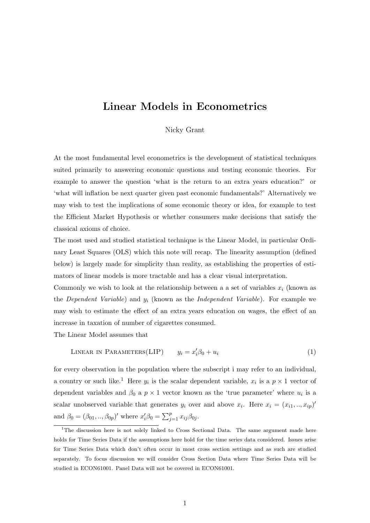## Linear Models in Econometrics

Nicky Grant

At the most fundamental level econometrics is the development of statistical techniques suited primarily to answering economic questions and testing economic theories. For example to answer the question 'what is the return to an extra years education?' or 'what will inflation be next quarter given past economic fundamentals?' Alternatively we may wish to test the implications of some economic theory or idea, for example to test the Efficient Market Hypothesis or whether consumers make decisions that satisfy the classical axioms of choice.

The most used and studied statistical technique is the Linear Model, in particular Ordinary Least Squares (OLS) which this note will recap. The linearity assumption (defined below) is largely made for simplicity than reality, as establishing the properties of estimators of linear models is more tractable and has a clear visual interpretation.

Commonly we wish to look at the relationship between a a set of variables  $x_i$  (known as the *Dependent Variable*) and  $y_i$  (known as the *Independent Variable*). For example we may wish to estimate the effect of an extra years education on wages, the effect of an increase in taxation of number of cigarettes consumed.

The Linear Model assumes that

$$
LINEAR IN PARAMETERS(LIP) \t yi = x'i \beta0 + ui
$$
\t(1)

for every observation in the population where the subscript i may refer to an individual, a country or such like.<sup>1</sup> Here  $y_i$  is the scalar dependent variable,  $x_i$  is a  $p \times 1$  vector of dependent variables and  $\beta_0$  a  $p \times 1$  vector known as the 'true parameter' where  $u_i$  is a scalar unobserved variable that generates  $y_i$  over and above  $x_i$ . Here  $x_i = (x_{i1},...,x_{ip})'$ and  $\beta_0 = (\beta_{01}, ..., \beta_{0p})'$  where  $x'_i \beta_0 = \sum_{j=1}^p x_{ij} \beta_{0j}$ .

<sup>&</sup>lt;sup>1</sup>The discussion here is not solely linked to Cross Sectional Data. The same argument made here holds for Time Series Data if the assumptions here hold for the time series data considered. Issues arise for Time Series Data which don't often occur in most cross section settings and as such are studied separately. To focus discussion we will consider Cross Section Data where Time Series Data will be studied in ECON61001. Panel Data will not be covered in ECON61001.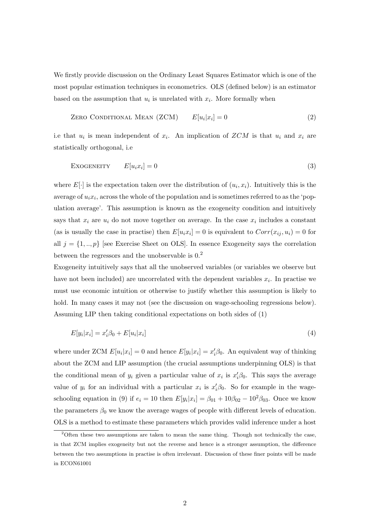We firstly provide discussion on the Ordinary Least Squares Estimator which is one of the most popular estimation techniques in econometrics. OLS (defined below) is an estimator based on the assumption that  $u_i$  is unrelated with  $x_i$ . More formally when

$$
ZERO \text{ ConvITIONAL MEAN} (ZCM) \qquad E[u_i|x_i] = 0 \tag{2}
$$

i.e that  $u_i$  is mean independent of  $x_i$ . An implication of  $ZCM$  is that  $u_i$  and  $x_i$  are statistically orthogonal, i.e

$$
Exogeneity \t E[u_i x_i] = 0 \t (3)
$$

where  $E[\cdot]$  is the expectation taken over the distribution of  $(u_i, x_i)$ . Intuitively this is the average of  $u_i x_i$ , across the whole of the population and is sometimes referred to as the 'population average'. This assumption is known as the exogeneity condition and intuitively says that  $x_i$  are  $u_i$  do not move together on average. In the case  $x_i$  includes a constant (as is usually the case in practise) then  $E[u_ix_i] = 0$  is equivalent to  $Corr(x_{ij}, u_i) = 0$  for all  $j = \{1,..,p\}$  [see Exercise Sheet on OLS]. In essence Exogeneity says the correlation between the regressors and the unobservable is  $0<sup>2</sup>$ .

Exogeneity intuitively says that all the unobserved variables (or variables we observe but have not been included) are uncorrelated with the dependent variables  $x_i$ . In practise we must use economic intuition or otherwise to justify whether this assumption is likely to hold. In many cases it may not (see the discussion on wage-schooling regressions below). Assuming LIP then taking conditional expectations on both sides of (1)

$$
E[y_i|x_i] = x_i'\beta_0 + E[u_i|x_i]
$$
\n(4)

where under ZCM  $E[u_i|x_i] = 0$  and hence  $E[y_i|x_i] = x_i'\beta_0$ . An equivalent way of thinking about the ZCM and LIP assumption (the crucial assumptions underpinning OLS) is that the conditional mean of  $y_i$  given a particular value of  $x_i$  is  $x_i'\beta_0$ . This says the average value of  $y_i$  for an individual with a particular  $x_i$  is  $x_i' \beta_0$ . So for example in the wageschooling equation in (9) if  $e_i = 10$  then  $E[y_i|x_i] = \beta_{01} + 10\beta_{02} - 10^2\beta_{03}$ . Once we know the parameters  $\beta_0$  we know the average wages of people with different levels of education. OLS is a method to estimate these parameters which provides valid inference under a host

 $2^2$ Often these two assumptions are taken to mean the same thing. Though not technically the case, in that ZCM implies exogeneity but not the reverse and hence is a stronger assumption, the difference between the two assumptions in practise is often irrelevant. Discussion of these finer points will be made in ECON61001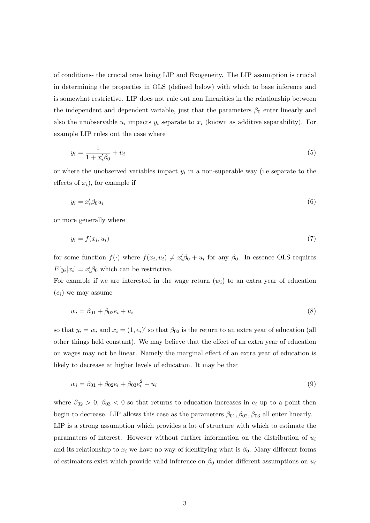of conditions- the crucial ones being LIP and Exogeneity. The LIP assumption is crucial in determining the properties in OLS (defined below) with which to base inference and is somewhat restrictive. LIP does not rule out non linearities in the relationship between the independent and dependent variable, just that the parameters  $\beta_0$  enter linearly and also the unobservable  $u_i$  impacts  $y_i$  separate to  $x_i$  (known as additive separability). For example LIP rules out the case where

$$
y_i = \frac{1}{1 + x_i' \beta_0} + u_i \tag{5}
$$

or where the unobserved variables impact  $y_i$  in a non-superable way (i.e separate to the effects of  $x_i$ , for example if

$$
y_i = x_i' \beta_0 u_i \tag{6}
$$

or more generally where

$$
y_i = f(x_i, u_i) \tag{7}
$$

for some function  $f(\cdot)$  where  $f(x_i, u_i) \neq x'_i \beta_0 + u_i$  for any  $\beta_0$ . In essence OLS requires  $E[y_i|x_i] = x_i'\beta_0$  which can be restrictive.

For example if we are interested in the wage return  $(w<sub>i</sub>)$  to an extra year of education  $(e_i)$  we may assume

$$
w_i = \beta_{01} + \beta_{02}e_i + u_i \tag{8}
$$

so that  $y_i = w_i$  and  $x_i = (1, e_i)'$  so that  $\beta_{02}$  is the return to an extra year of education (all other things held constant). We may believe that the effect of an extra year of education on wages may not be linear. Namely the marginal effect of an extra year of education is likely to decrease at higher levels of education. It may be that

$$
w_i = \beta_{01} + \beta_{02}e_i + \beta_{03}e_i^2 + u_i \tag{9}
$$

where  $\beta_{02} > 0$ ,  $\beta_{03} < 0$  so that returns to education increases in  $e_i$  up to a point then begin to decrease. LIP allows this case as the parameters  $\beta_{01}, \beta_{02}, \beta_{03}$  all enter linearly. LIP is a strong assumption which provides a lot of structure with which to estimate the paramaters of interest. However without further information on the distribution of  $u_i$ and its relationship to  $x_i$  we have no way of identifying what is  $\beta_0$ . Many different forms of estimators exist which provide valid inference on  $\beta_0$  under different assumptions on  $u_i$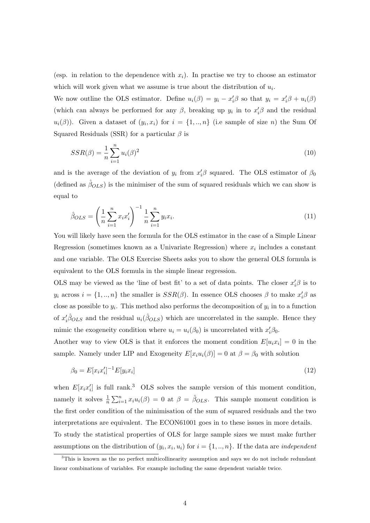(esp. in relation to the dependence with  $x_i$ ). In practise we try to choose an estimator which will work given what we assume is true about the distribution of  $u_i$ .

We now outline the OLS estimator. Define  $u_i(\beta) = y_i - x_i^{\prime} \beta$  so that  $y_i = x_i^{\prime} \beta + u_i(\beta)$ (which can always be performed for any  $\beta$ , breaking up  $y_i$  in to  $x_i^{\prime}\beta$  and the residual  $u_i(\beta)$ ). Given a dataset of  $(y_i, x_i)$  for  $i = \{1, ..., n\}$  (i.e sample of size n) the Sum Of Squared Residuals (SSR) for a particular  $\beta$  is

$$
SSR(\beta) = \frac{1}{n} \sum_{i=1}^{n} u_i(\beta)^2
$$
\n(10)

and is the average of the deviation of  $y_i$  from  $x_i' \beta$  squared. The OLS estimator of  $\beta_0$ (defined as  $\hat{\beta}_{OLS}$ ) is the minimiser of the sum of squared residuals which we can show is equal to

$$
\hat{\beta}_{OLS} = \left(\frac{1}{n} \sum_{i=1}^{n} x_i x_i'\right)^{-1} \frac{1}{n} \sum_{i=1}^{n} y_i x_i.
$$
\n(11)

You will likely have seen the formula for the OLS estimator in the case of a Simple Linear Regression (sometimes known as a Univariate Regression) where  $x_i$  includes a constant and one variable. The OLS Exercise Sheets asks you to show the general OLS formula is equivalent to the OLS formula in the simple linear regression.

OLS may be viewed as the 'line of best fit' to a set of data points. The closer  $x_i' \beta$  is to  $y_i$  across  $i = \{1, ..., n\}$  the smaller is  $SSR(\beta)$ . In essence OLS chooses  $\beta$  to make  $x_i'\beta$  as close as possible to  $y_i$ . This method also performs the decomposition of  $y_i$  in to a function of  $x'_i\hat{\beta}_{OLS}$  and the residual  $u_i(\hat{\beta}_{OLS})$  which are uncorrelated in the sample. Hence they mimic the exogeneity condition where  $u_i = u_i(\beta_0)$  is uncorrelated with  $x_i' \beta_0$ .

Another way to view OLS is that it enforces the moment condition  $E[u_ix_i] = 0$  in the sample. Namely under LIP and Exogeneity  $E[x_i u_i(\beta)] = 0$  at  $\beta = \beta_0$  with solution

$$
\beta_0 = E[x_i x_i']^{-1} E[y_i x_i]
$$
\n(12)

when  $E[x_ix_i']$  is full rank.<sup>3</sup> OLS solves the sample version of this moment condition, namely it solves  $\frac{1}{n} \sum_{i=1}^n x_i u_i(\beta) = 0$  at  $\beta = \hat{\beta}_{OLS}$ . This sample moment condition is the first order condition of the minimisation of the sum of squared residuals and the two interpretations are equivalent. The ECON61001 goes in to these issues in more details. To study the statistical properties of OLS for large sample sizes we must make further assumptions on the distribution of  $(y_i, x_i, u_i)$  for  $i = \{1, ..., n\}$ . If the data are *independent* 

<sup>&</sup>lt;sup>3</sup>This is known as the no perfect multicollinearity assumption and says we do not include redundant linear combinations of variables. For example including the same dependent variable twice.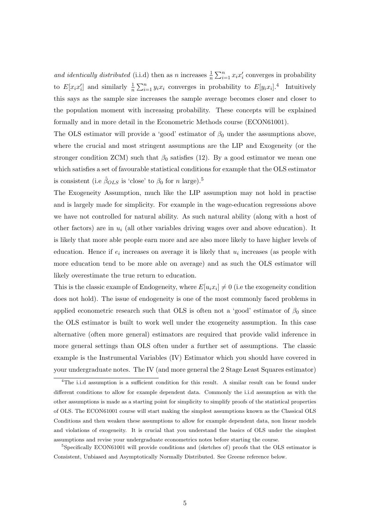and identically distributed (i.i.d) then as n increases  $\frac{1}{n} \sum_{i=1}^{n} x_i x_i'$  converges in probability to  $E[x_ix_i']$  and similarly  $\frac{1}{n}\sum_{i=1}^n y_ix_i$  converges in probability to  $E[y_ix_i]$ .<sup>4</sup> Intuitively this says as the sample size increases the sample average becomes closer and closer to the population moment with increasing probability. These concepts will be explained formally and in more detail in the Econometric Methods course (ECON61001).

The OLS estimator will provide a 'good' estimator of  $\beta_0$  under the assumptions above, where the crucial and most stringent assumptions are the LIP and Exogeneity (or the stronger condition ZCM) such that  $\beta_0$  satisfies (12). By a good estimator we mean one which satisfies a set of favourable statistical conditions for example that the OLS estimator is consistent (i.e  $\hat{\beta}_{OLS}$  is 'close' to  $\beta_0$  for n large).<sup>5</sup>

The Exogeneity Assumption, much like the LIP assumption may not hold in practise and is largely made for simplicity. For example in the wage-education regressions above we have not controlled for natural ability. As such natural ability (along with a host of other factors) are in  $u_i$  (all other variables driving wages over and above education). It is likely that more able people earn more and are also more likely to have higher levels of education. Hence if  $e_i$  increases on average it is likely that  $u_i$  increases (as people with more education tend to be more able on average) and as such the OLS estimator will likely overestimate the true return to education.

This is the classic example of Endogeneity, where  $E[u_ix_i] \neq 0$  (i.e the exogeneity condition does not hold). The issue of endogeneity is one of the most commonly faced problems in applied econometric research such that OLS is often not a 'good' estimator of  $\beta_0$  since the OLS estimator is built to work well under the exogeneity assumption. In this case alternative (often more general) estimators are required that provide valid inference in more general settings than OLS often under a further set of assumptions. The classic example is the Instrumental Variables (IV) Estimator which you should have covered in your undergraduate notes. The IV (and more general the 2 Stage Least Squares estimator)

<sup>4</sup>The i.i.d assumption is a sufficient condition for this result. A similar result can be found under different conditions to allow for example dependent data. Commonly the i.i.d assumption as with the other assumptions is made as a starting point for simplicity to simplify proofs of the statistical properties of OLS. The ECON61001 course will start making the simplest assumptions known as the Classical OLS Conditions and then weaken these assumptions to allow for example dependent data, non linear models and violations of exogeneity. It is crucial that you understand the basics of OLS under the simplest assumptions and revise your undergraduate econometrics notes before starting the course.

<sup>&</sup>lt;sup>5</sup>Specifically ECON61001 will provide conditions and (sketches of) proofs that the OLS estimator is Consistent, Unbiased and Asymptotically Normally Distributed. See Greene reference below.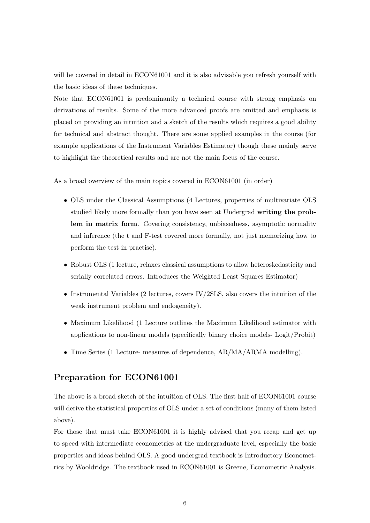will be covered in detail in ECON61001 and it is also advisable you refresh yourself with the basic ideas of these techniques.

Note that ECON61001 is predominantly a technical course with strong emphasis on derivations of results. Some of the more advanced proofs are omitted and emphasis is placed on providing an intuition and a sketch of the results which requires a good ability for technical and abstract thought. There are some applied examples in the course (for example applications of the Instrument Variables Estimator) though these mainly serve to highlight the theoretical results and are not the main focus of the course.

As a broad overview of the main topics covered in ECON61001 (in order)

- OLS under the Classical Assumptions (4 Lectures, properties of multivariate OLS studied likely more formally than you have seen at Undergrad writing the problem in matrix form. Covering consistency, unbiasedness, asymptotic normality and inference (the t and F-test covered more formally, not just memorizing how to perform the test in practise).
- Robust OLS (1 lecture, relaxes classical assumptions to allow heteroskedasticity and serially correlated errors. Introduces the Weighted Least Squares Estimator)
- Instrumental Variables (2 lectures, covers IV/2SLS, also covers the intuition of the weak instrument problem and endogeneity).
- Maximum Likelihood (1 Lecture outlines the Maximum Likelihood estimator with applications to non-linear models (specifically binary choice models- Logit/Probit)
- Time Series (1 Lecture- measures of dependence, AR/MA/ARMA modelling).

## Preparation for ECON61001

The above is a broad sketch of the intuition of OLS. The first half of ECON61001 course will derive the statistical properties of OLS under a set of conditions (many of them listed above).

For those that must take ECON61001 it is highly advised that you recap and get up to speed with intermediate econometrics at the undergraduate level, especially the basic properties and ideas behind OLS. A good undergrad textbook is Introductory Econometrics by Wooldridge. The textbook used in ECON61001 is Greene, Econometric Analysis.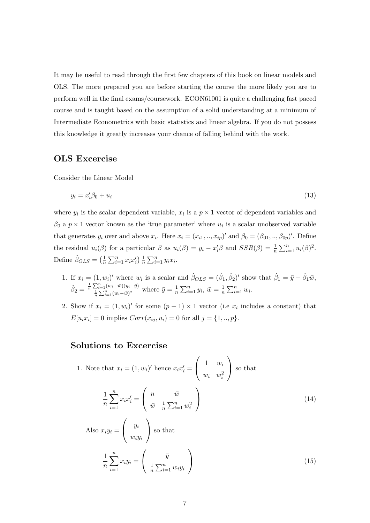It may be useful to read through the first few chapters of this book on linear models and OLS. The more prepared you are before starting the course the more likely you are to perform well in the final exams/coursework. ECON61001 is quite a challenging fast paced course and is taught based on the assumption of a solid understanding at a minimum of Intermediate Econometrics with basic statistics and linear algebra. If you do not possess this knowledge it greatly increases your chance of falling behind with the work.

## OLS Excercise

Consider the Linear Model

$$
y_i = x_i'\beta_0 + u_i \tag{13}
$$

where  $y_i$  is the scalar dependent variable,  $x_i$  is a  $p \times 1$  vector of dependent variables and  $\beta_0$  a  $p \times 1$  vector known as the 'true parameter' where  $u_i$  is a scalar unobserved variable that generates  $y_i$  over and above  $x_i$ . Here  $x_i = (x_{i1}, ..., x_{ip})'$  and  $\beta_0 = (\beta_{01}, ..., \beta_{0p})'$ . Define the residual  $u_i(\beta)$  for a particular  $\beta$  as  $u_i(\beta) = y_i - x_i' \beta$  and  $SSR(\beta) = \frac{1}{n} \sum_{i=1}^n u_i(\beta)^2$ . Define  $\hat{\beta}_{OLS} = \left(\frac{1}{n}\right)$  $\frac{1}{n}\sum_{i=1}^n x_i x'_i$ )  $\frac{1}{n}$  $\frac{1}{n} \sum_{i=1}^n y_i x_i.$ 

- 1. If  $x_i = (1, w_i)'$  where  $w_i$  is a scalar and  $\hat{\beta}_{OLS} = (\hat{\beta}_1, \hat{\beta}_2)'$  show that  $\hat{\beta}_1 = \bar{y} \hat{\beta}_1 \bar{w}$ ,  $\hat{\beta}_2 = \frac{\frac{1}{n} \sum_{i=1}^n (w_i - \bar{w})(y_i - \bar{y})}{\frac{1}{n} \sum_{i=1}^n (w_i - \bar{w})^2}$  where  $\bar{y} = \frac{1}{n}$  $\frac{1}{n}\sum_{i=1}^n y_i, \overline{w} = \frac{1}{n}$  $\frac{1}{n} \sum_{i=1}^n w_i$ .
- 2. Show if  $x_i = (1, w_i)'$  for some  $(p-1) \times 1$  vector (i.e  $x_i$  includes a constant) that  $E[u_i x_i] = 0$  implies  $Corr(x_{ij}, u_i) = 0$  for all  $j = \{1, ..., p\}.$

## Solutions to Excercise

1. Note that 
$$
x_i = (1, w_i)'
$$
 hence  $x_i x_i' = \begin{pmatrix} 1 & w_i \\ w_i & w_i^2 \end{pmatrix}$  so that\n
$$
\frac{1}{n} \sum_{i=1}^n x_i x_i' = \begin{pmatrix} n & \bar{w} \\ \bar{w} & \frac{1}{n} \sum_{i=1}^n w_i^2 \end{pmatrix}
$$
\n
$$
\begin{pmatrix} u_i \end{pmatrix}
$$
\n(14)

Also 
$$
x_i y_i = \begin{pmatrix} y_i \\ w_i y_i \end{pmatrix}
$$
 so that  
\n
$$
\frac{1}{n} \sum_{i=1}^n x_i y_i = \begin{pmatrix} \bar{y} \\ \frac{1}{n} \sum_{i=1}^n w_i y_i \end{pmatrix}
$$
\n(15)